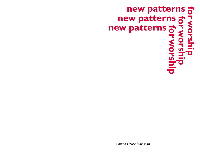# **new patterns for worship new patterns for worship new patterns for worship**

*Church House Publishing*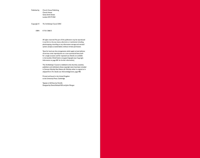Published by Church House Publishing Church House Great Smith Street London SW1P 3NZ

Copyright © *The Archbishops' Council 2002*

ISBN 0 7151 2060 3

All rights reserved. No part of this publication may be reproduced in any form or by any means, electronic or mechanical, including photocopying, recording or any information storage and retrieval system, except as stated below, without written permission.

Texts for local use: the arrangements which apply to local editions of services cover reproduction on a non-commercial basis both for a single occasion and for repeated use. Details are available in the booklet *A Brief Guide to Liturgical Copyright* (see Copyright Information on page 481 for further information).

The Archbishops' Council is indebted to the churches, societies, publishers and individuals whose copyright texts have been included in *Common Worship: New Patterns for Worship*, either in original or in adapted form. For details see Acknowledgements, page 482.

Printed and bound in the United Kingdom at the University Press, Cambridge

Typeset in Gill Sans by Omnific Designed by Derek Birdsall RDI and John Morgan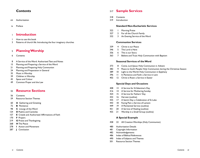### **Contents**

- viii Authorization
- ix Preface

### <sup>1</sup> **Introduction**

- 1 How to use this book
- 3 Patterns of church life: Introducing the four imaginary churches

### <sup>5</sup> **Planning Worship**

- 6 Contents
- 8 A Service of the Word: Authorized Text and Notes
- 15 Planning and Preparing a Service of the Word
- 21 Planning and Preparing Holy Communion
- 24 Planning and Preparation in General
- 35 Music in Worship
- 39 Children in Worship
- 45 Space and Colour
- 49 Common Prayer and the Law

### <sup>55</sup> **Resource Sections**

- 56 Contents
- 59 Resource Section Themes
- 60 **A** Gathering and Greeting
- 72 **B** Penitence
- 98 **C** Liturgy of the Word
- 124 **D** Psalms and Canticles
- 157 **E** Creeds and Authorized Affirmations of Faith
- 170 **F** Prayers
- 219 **G** Praise and Thanksgiving
- 268 **H** The Peace
- 278 **I** Action and Movement
- 287 **J** Conclusion

### <sup>317</sup> **Sample Services**

- 318 Contents
- 319 Introduction

#### **Standard Non-Eucharistic Services**

- 322 1 Morning Praise
- 327 2 For all the Church Family
- 332 3 An Evening Service of the Word

#### **Communion Services**

- 339 4 Christ is our Peace
- 346 5 The Lord is Here
- 356 6 This is our Story
- 363 7 Believe and Trust: Holy Communion with Baptism

#### **Seasonal Services of the Word**

- 373 8 Come, Lord Jesus: Holy Communion in Advent
- 382 9 Peace to God's People: Holy Communion during the Christmas Season
- 389 10 Light to the World: Holy Communion in Epiphany
- 396 11 In Penitence and Faith: a Service in Lent
- 402 12 Christ is Risen: a Service in Easter

#### **Special Days and Occasions**

- 408 13 A Service for St Valentine's Day
- 416 14 A Service for Mothering Sunday
- 424 15 A Service for Fathers' Day
- 432 16 Harvest (outline)
- 435 17 A Saint's Day: a Celebration of St Luke
- 443 18 Facing Pain: a Service of Lament
- 449 19 A Penitential Service (outline)
- 451 20 A Service of Healing (outline)
- 455 21 Worship in a Small Group (outline)

#### **A Special Example**

- 458 22 All Creation Worships (Holy Communion)
- 480 Authorization Details
- 481 Copyright Information
- 482 Acknowledgements
- 486 Index of Biblical References
- 490 Index of Subjects and Themes
- 501 Resource Section Themes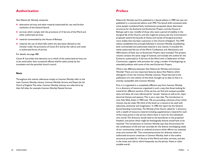### **Authorization**

*New Patterns for Worship* comprises

- **\*** alternative services and other material authorized for use until further resolution of the General Synod;
- \* services which comply with the provisions of A Service of the Word and other authorized services;
- \* material commended by the House of Bishops;
- **\*** material, the use of which falls within the discretion allowed to the minister under the provisions of Canon B 5 and by the rubrics and notes in authorized forms of service.

For details, see page 480.

Canon B 3 provides that decisions as to which of the authorized services are to be used (other than occasional offices) shall be taken jointly by the incumbent and the parochial church council.

#### **Note**

Throughout this volume references simply to *Common Worship* refer to the main *Common Worship* volume, *Common Worship: Services and Prayers for the Church of England*.The other *Common Worship* volumes are referred to by their full titles, for example *Common Worship: Pastoral Services*.

### **Preface**

*Patterns for Worship* was first published in a Synod edition in 1989, but was not published in a commercial edition until 1995.The Synod draft contained what some people considered fairly revolutionary proposals about alternative structures for the Eucharist and Eucharistic Prayers, and the House of Bishops said it was 'mindful of those who want a period of stability in the liturgical life of the Church, and who might be anxious lest the Commission's proposals extend the bounds of choice and variety of liturgical provision more widely than has been customary in the Church of England'.The 1995 edition established the principle followed in *Common Worship* of publishing both commended and authorized material in one volume. It included the newly authorized Service of the Word, Confessions and Absolutions and Affirmations of Faith, but no Eucharistic Prayers were included.This present volume contains the same range of material, and includes the outline for the Eucharist, authorized as A Service of the Word with a Celebration of Holy Communion, together with provision for using a number of thanksgivings as extended prefaces with some of the new Eucharistic Prayers.

What is the difference between *New Patterns for Worship* and *Common Worship*? There are two important features about *New Patterns* which distinguish it from the *Common Worship* volumes.These have led to the publication of a new edition of this book, brought up to date so that it is entirely compatible with *Common Worship*.

First, it is organized in a completely different way from *Common Worship*. It is a directory of resources, organized in such a way that those looking for material for different sections of the service can find and compare possible texts and ideas, all cross-referenced for 'secular' themes as well as for major doctrinal themes and seasons.This is not a new idea.The introduction to *Lent, Holy Week, Easter* in 1984 said, 'We are providing a directory from which choices may be made.We think of this book as a manual to be used with selectivity, sensitivity and imagination.' In 1985 the report by the General Synod Standing Committee, *The Worship of the Church*, called for 'a directory with a wealth of resource material including supplementary material for each of the many points in the service where there is room for the individual's own words.The directory would need to set boundaries to the proposed freedom, and points which might be theologically divisive would have to be watched.' The introduction to *Common Worship* says that the provision for the combination of old and new 'provides for the diverse worshipping needs of our communities, within an ordered structure which affirms our essential unity and common life'.This continued provision for diversity within an authorized structure continues in *Common Worship*, both in the outline structures provided for A Service of the Word and other services, and also in the notes and rubrics which frequently use the phrase 'these or other suitable words'.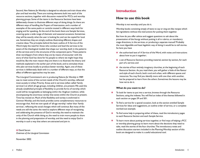plan and lead worship.There are training elements built into each of the resource sections, together with discussion material for PCCs and worship planning groups. Some of the items in the Resource Sections have been deliberately chosen to illustrate different ways of doing things. So there are different ways of handling the Prayers of Intercession, and a number of examples of the same psalm or canticle treated in different ways both for singing and for speaking. At the end of the book there are Sample Services, covering quite a wide range of thematic and seasonal occasions. Sometimes they will be exactly what the user is looking for, and can be copied for local use. Sometimes they are simply outlines illustrating different shapes and creative ideas.The principles behind the basic outline of A Service of the Word imply the need for those who conduct and lead the services to be aware of the theological models that shape our worship, both in the patterns of the services and in the structures of the component parts.These patterns draw worshippers from where they are by means of encounter with the story of what God has done for his people to where we might hope they would be. But the main reason they are there is to illustrate the theory and methods explained in the earlier part of the book, and to stimulate those who plan services locally to produce better worship. Again, one of these services is deliberately dealt with in a number of different ways, so that the effect of different approaches may be seen. The Liturgical Commission's aim in producing *Patterns for Worship* in 1989

Second, *New Patterns for Worship* is designed to educate and train those who

was to meet some of the current needs of the Church's worship, reflected most acutely in Urban Priority Areas and in services (often called 'family services') at which all age groups, including children, are present.We used the already established principle of flexibility to provide forms of worship which could still be recognizable as belonging within the Anglican tradition, while encompassing the enormous variety that exists within the Church at present. Time has moved on. Much of the flexibility and variety is enshrined in *Common Worship*, and this book provides some complementary resources to encourage that. And we now speak of 'all-age worship' rather than 'family services', reflecting the social changes which still continue. But many of the needs are still the same: the need to explore different ways of recognizing and celebrating the presence of God in worship, the need to maintain the unity of the Church while doing so, the need to train more people to share in the planning and preparation of worship, and the need to enjoy God in worship in such a way that others are attracted and join in.

November 2002

### **Introduction**

### **How to use this book**

Worship is not worship until you do it.

Worship books consisting simply of texts to say or sing are like recipes which list ingredients without the instructions for putting them together.

But how do you offer advice and suggest questions to ask about the presentation of the liturgy without putting it all in rubrics, or mandatory stage directions, in the services, or producing a separate manual? Probably the most digestible and least legalistic way of doing it would be to tell stories. So here you have

- **\*** the authorized text of A Service of the Word, with notes and instructions about how to put it together;
- **\*** a set of Resource Sections providing material, section by section, for each part of a service; and
- \* the stories of four entirely imaginary churches, at the beginning of each Resource Section. As you read them, you will gather a little of the flavour and style of each church, both rural and urban, with different spaces and resources.You may find you identify more with one than with another, but be prepared to learn from the others. Sometimes the lessons may be how *not* to do it.

#### **What do you want to do?**

- **\*** To look for items to put into a service, browse through the Resource Sections, using the indexes.You will find an index of the themes followed in each section on pages 59 and 501.
- **\*** To find a service for a special occasion, look at the section entitled Sample Services for ideas and suggestions, an outline order of service, or a complete worked-out example.
- **\*** To find some help in preparing either of these, read the introductory pages to each Resource Section and each Sample Service.
- **\*** To learn more about putting services together, or find ways of helping a PCC or worship planning group to learn more about the decisions they need to take, read the stories of the four churches.The introductory notes and outline discussion starters included in the Planning Worship section of this book are designed to make it a useful educational tool.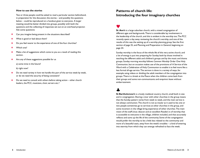#### **How to use the stories**

Two or three people could be asked to read a particular section beforehand, in preparation for the discussion; the stories – and possibly the questions below – could be reproduced on a handout given to everyone. A larger meeting would be better divided into groups, possibly with both the questions and the collecting of responses set out on an overhead projector. Ask some questions:

- **\*** Can you imagine being present in the situations described?
- **\*** What is good or bad about them?
- **\*** Do you feel nearer to the experience of one of the four churches?
- **\*** Which one?
- **\*** Make a list of suggestions which come to you as a result of reading this section.
- **\*** Are any of these suggestions possible for us

a) some time in the future?

b) right now?

- **\*** Do we need variety in how we handle this part of the service week by week, or do we need the security of being consistent?
- **\*** Do we need to consult with others before taking action other church leaders, the PCC, musicians, choir, servers etc.?

## **Patterns of church life: Introducing the four imaginary churches**

♥ **St Ann's** is a large suburban church, with a mixed congregation of different ages and backgrounds.There is considerable lay involvement in the leadership of the church, and this is evident in the worship too.The PCC recently spent a day away reviewing the church's worship, and one of the results of this was the setting up of a worship planning group. See the first section of page 25, and Planning and Preparation in General, beginning on page 24.

Sunday worship is the focus of the whole life of this very active church, and a lot of energy is put into preparing for Sunday both by those involved in teaching the different adult and children's groups and by the music and drama groups. Sunday morning worship follows *Common Worship* Order One Holy Communion, but on occasion makes use of the provisions of A Service of the Word with a Celebration of Holy Communion to enable it to feel more like a less formal all-age service.The sermon is done in a variety of ways, for example using videos or dividing the adult members of the congregation into groups.There is a break at the Peace when the children come back from their groups and some non-communicants and enquirers leave without embarrassment.

### ♣

**St Bartholomew's** is a lovely medieval country church, small both in size and in congregation. Sharing a vicar with other churches in the group means that the Sunday pattern varies from week to week, and the main service is not always communion.The church is not as insular as it used to be; one or two people sometimes go to services at other churches in the group, and some incomers in the village bring experience of other churches.The main vision of the staff (vicar, deacon and an excellent Reader) is of worship that is accessible to everyone in the village, children included, and that accurately reflects and sums up the life of the community. Some of the congregation would prefer the worship to be a little less related to the community and more of a beautiful oasis, away from the week's troubles – a kind of entering into eternity from which they can emerge refreshed to face the week.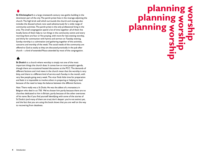♦

**St Christopher's** is a large nineteenth-century neo-gothic building in the downtown part of the city.The parish priest lives in the vicarage adjoining the church.The high brick wall which surrounds the church and vicarage also includes the disused school, now used adventurously for a wide range of community activities.The parish priest is the only professional living in the area.The small congregation spend a lot of time together; all of them live locally. Some of them help to run things in the community centre and every morning there are four or five praying, with more for late evening worship, and thirty for communion with hymns and sermon on Tuesday evening. Sunday worship is a culmination and gathering together of the activities, concerns and worship of the week.The social needs of the community are offered to God as easily as they are discussed practically in the pub after church – a kind of extended Peace attended by most of the congregation.

## ♠

**St Dodo's** is a church where worship is simply not one of the most important things the church does. It comes low on most people's agenda, though there are occasional heated discussions at the PCC.The demands of different factions and rival views in the church mean that the worship is very bitty, and there is a different kind of service each Sunday in the month, with very few people going every week.The vicar finds little time for preparation and feels it is impossible to involve others in preparing or helping to lead because of the need to keep the balance between the different factions.

*Note:* There really was a St Dodo. He was the abbot of a monastery in Belgium who died in AD 750. We've chosen him partly because there are no churches dedicated to him in Britain, partly because of the other overtones of his name. But if you find yourself identifying with some of the stories of St Dodo's (and many of them are true) don't despair: you're not extinct yet, and the fact that you are using this book shows that you are well on the way to recovering from deadness.

**worship planningworship planningworship planning**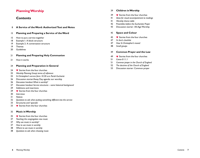### **Planning Worship**

### **Contents**

### **A Service of the Word: Authorized Text and Notes**

- **Planning and Preparing a Service of the Word**
- 15 How to put a service together
- 18 Example 1: A block structure
- 19 Example 2: A conversation structure
- 19 Themes
- 20 Guidelines

### **Planning and Preparing Holy Communion**

21 How it works

### **Planning and Preparation in General**

- 24  $\bullet$  Stories from the four churches
- *Worship Planning Group: terms of reference*
- *St Christopher's service form: 10.30 a.m. Parish Eucharist*
- 26 Discussion starter/Away Day agenda: our worship
- *Discussion handout:What is worship?*
- *Discussion handout: Service structures some historical background*
- 29 Additions and insertions
- 29  $\bullet$  Stories from the four churches
- *Interviews*
- *Notices*
- *Questions to ask when putting something different into the service*
- 33 Structures and 'specials'
- $33 \rightarrow$  Stories from the four churches

### **Music in Worship**

- 35  $\bullet$  Stories from the four churches
- *Teaching the congregation new music*
- *Why use music in worship?*
- *How to use music in worship*
- *Where to use music in worship*
- *Questions to ask when choosing music*

### **Children in Worship**

- $39 \rightarrow$  Stories from the four churches
- *Ideas for visual accompaniment to readings*
- *Worship theme table*
- *Preambles before the Eucharistic Prayer*
- 43 Discussion starter: All-Age Worship

### **Space and Colour**

- $\bullet$  Stories from the four churches
- *St Ann's checklist*
- *How St Christopher's moved*
- *Small groups*

### **Common Prayer and the Law**

- $49 \times$  Stories from the four churches
- *Canon B 11.1*
- *Common prayer in the Church of England*
- *The doctrine of the Church of England*
- 53 Discussion starter: Common prayer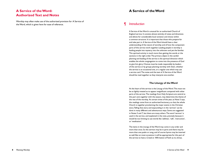## **A Service of the Word: Authorized Text and Notes**

Worship may often make use of the authorized provision for A Service of the Word, which is given here for ease of reference.

### **A Service of the Word**

### *¶ Introduction*

A Service of the Word is unusual for an authorized Church of England service. It consists almost entirely of notes and directions and allows for considerable local variation and choice within a common structure. It is important that those who prepare for and take part in A Service of the Word should have a clear understanding of the nature of worship and of how the component parts of this service work together. Leading people in worship is leading people into mystery, into the unknown and yet the familiar. This spiritual activity is much more than getting the words or the sections in the right order. The primary object in the careful planning and leading of the service is the spiritual direction which enables the whole congregation to come into the presence of God to give him glory. Choices must be made responsibly by leaders of this service or by groups planning worship with them, whether the service is an occasional one, or a regular one which may use a service card.The notes and the text of A Service of the Word should be read together as they interpret one another.

### **The Liturgy of the Word**

At the heart of the service is the Liturgy of the Word.This must not be so lightly treated as to appear insignificant compared with other parts of the service.The readings from Holy Scripture are central to this part and, together with the season, may determine the theme of the rest of the worship. At certain times of the year, as Note 5 says, the readings come from an authorized lectionary, so that the whole Church is together proclaiming the major events in the Christian story.Telling that story and expounding it in the 'sermon' can be done in many different and adventurous ways. Some are suggested in Notes 5 and 7, but there are many others.The word 'sermon' is used in the service, and explained in the note, precisely because it would be too limiting to use words like 'address', 'talk', 'instruction', or 'meditation'.

The items in the Liturgy of the Word may come in any order and more than once. So the sermon may be in parts and there may be more than one psalm or song, and of course hymns may be inserted as well. But on most occasions it will be appropriate for this part of the service to have a Creed or Affirmation of Faith as its climax.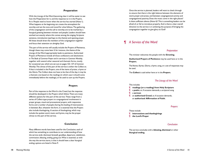#### **Preparation**

With the Liturgy of the Word becoming clear it will be easier to see how the Preparation for it, and the response to it in the Prayers, fit in. People need to know when the service has started (Note 1). What happens at the beginning can create the atmosphere for worship and set the tone and mood for what follows.The gathering of the congregation and the call to worship are to be marked by a liturgical greeting between minister and people. Leaders should have worked out exactly where this comes among the singing, Scripture sentence, introduction (perhaps to the theme) and opening prayer. All these should draw the members of the congregation together and focus their attention on almighty God.

This part of the service will usually include the Prayers of Penitence, though these may come later if, for instance, the theme of the Liturgy of the Word appropriately leads to penitence. Authorized Prayers of Penitence include all those confessions and absolutions in *The Book of Common Prayer* and in services in *Common Worship*, together with several other seasonal and thematic forms, mostly for occasional use, which are set out on pages 122–137 of *Common Worship*.The climax of this part of the service is either the Collect or, if that is included in the Prayers, one of the items of praise, a hymn or the Gloria.The Collect does not have to be that of the day; it may be a thematic one based on the readings (in which case it should come immediately before the readings), or be used to sum up the Prayers.

#### **Prayers**

Part of the response to the Word is the Creed, but the response should be developed in the Prayers which follow.There are many different options for this part of the service.These range from a series of Collect-type prayers to congregational involvement in prayer groups, visual and processional prayers, with responsive forms and a number of people sharing the leading of intercessions in between. But, whatever the form, it is essential that the Prayers also include thanksgiving. A section of thanksgiving, which may include the spoken word, music and hymns, may be the proper climax to this part of the service.

#### **Conclusion**

Many different words have been used for the Conclusion, each of which has something to contribute to our understanding of how the service ends: dismissal, farewell, goodbye, departure, valediction, commission, blessing, ending, going out.What is essential, as with the way the service starts, is that it should have a clear liturgical ending: options are listed in Note 9.

Once the service is planned, leaders will want to check through to ensure that there is the right balance between the elements of word, prayer and praise, and between congregational activity and congregational passivity. Does the music come in the right places? Is there sufficient silence (Note 4)? This is something leaders can be afraid of, or fail to introduce properly. And is there a clear overall direction to the service: is it achieving the purpose of bringing the congregation together to give glory to God?

### *¶ A Service of the Word*

#### *Preparation*

The minister welcomes the people with the **Greeting**.

**Authorized Prayers of Penitence** may be used here or in the **Prayers**.

The Venite, Kyries, Gloria, a hymn, song, or a set of responses may be used.

The **Collect** is said either here or in the **Prayers**.

#### *The Liturgy of the Word*

#### This includes

¶ **readings (or a reading) from Holy Scripture**

¶ a **psalm**, or, if occasion demands, a scriptural song

¶ a **sermon**

¶ an **authorized Creed**, or, if occasion demands,

an **authorized Affirmation of Faith.**

#### *Prayers*

#### These include

¶ **intercessions and thanksgivings**

¶ **the Lord's Prayer**

#### *Conclusion*

The service concludes with a **blessing, dismissal** or other **liturgical ending**.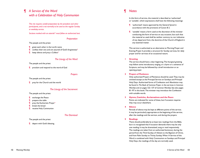## *¶ A Service of the Word with a Celebration of Holy Communion*

*This rite requires careful preparation by the president and other participants, and is not normally to be used as the regular Sunday or weekday service.*

*Sections marked with an asterisk\* must follow an authorized text.*

#### *Preparation*

The people and the priest:

- **T** greet each other in the Lord's name
- ¶ confess their sins and are assured of God's forgiveness\*
- **T** keep silence and pray a Collect\*

#### *The Liturgy of the Word*

The people and the priest:

¶ proclaim and respond to the word of God

#### *Prayers*

The people and the priest:

**T** pray for the Church and the world

#### *The Liturgy of the Sacrament*

#### The people and the priest:

- ¶ exchange the Peace
- ¶ prepare the table
- ¶ pray the Eucharistic Prayer\*
- ¶ break the bread
- receive Holy Communion

#### *The Dismissal*

The people and the priest:

**T** depart with God's blessing.

### *¶ Notes*

In this form of service, the material is described as 'authorized' or 'suitable', which expressions shall have the following meanings:

- ¶ 'authorized' means approved by the General Synod in accordance with the provisions of Canon B 2.
- ¶ 'suitable' means a form used at the discretion of the minister conducting the form of service on any occasion, but such that the material so used shall be neither contrary to, nor indicative of any departure from, the doctrine of the Church of England in any essential matter.

This service is authorized as an alternative to Morning Prayer and Evening Prayer. It provides a structure for Sunday services, for daily prayer and for services of an occasional nature.

#### **1 Greeting**

The service should have a clear beginning.The liturgical greeting may follow some introductory singing, or a hymn or a sentence of Scripture, and may be followed by a brief introduction or an opening prayer.

#### **2 Prayers of Penitence**

Only authorized Prayers of Penitence should be used.They may be omitted except at the Principal Service on Sundays and Principal Holy Days. Authorized forms of Confession and Absolution may be found in *The Book of Common Prayer*, in the services in *Common Worship* and on pages 122–137 of *Common Worship*. See also pages 81–97 in this book.The minister may introduce the Confession with suitable words.

#### **3 Hymns, Canticles, Acclamations and the Peace**

Points are indicated for some of these, but if occasion requires they may occur elsewhere.

#### **4 Silence**

Periods of silence may be kept at different points of the service. It may be particularly appropriate at the beginning of the service, after the readings and the sermon, and during the prayers.

#### **5 Readings**

There should preferably be at least two readings from the Bible, but it is recognized that if occasion demands there may be only one reading. It may be dramatized, sung or read responsively. The readings are taken from an authorized lectionary during the period from the Third Sunday of Advent to the Baptism of Christ, and from Palm Sunday to Trinity Sunday. When A Service of the Word is combined with Holy Communion on Sundays and Principal Holy Days, the readings of the day are normally used.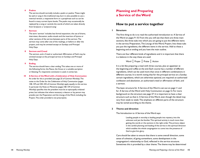#### **6 Psalms**

The service should normally include a psalm or psalms.These might be said or sung in the traditional way, but it is also possible to use a metrical version, a responsive form or a paraphrase such as can be found in many current hymn books.The psalm may occasionally be replaced by a song or canticle the words of which are taken directly from Scripture: a 'scriptural song'.

#### **7 Sermon**

The term 'sermon' includes less formal exposition, the use of drama, interviews, discussion, audio-visuals and the insertion of hymns or other sections of the service between parts of the sermon.The sermon may come after one of the readings, or before or after the prayers, and may be omitted except on Sundays and Principal Holy Days.

#### **8 Sermon and Creed**

The sermon, and a Creed or authorized Affirmation of Faith may be omitted except at the principal service on Sundays and Principal Holy Days.

#### **9 Ending**

The service should have a clear ending.This takes one or more of the following forms: the Peace, the Grace or a suitable ascription or blessing. If a responsive conclusion is used, it comes last.

#### **10 A Service of the Word with a Celebration of Holy Communion**

An order for this is provided (see page 25 of *Common Worship*).The notes to the Order for the Celebration of Holy Communion (pages 158–159 and 330–335 of *Common Worship*) apply equally to this service. In particular the Note on Ministries (pages 158–159 of *Common Worship*) specifies that the president must be an episcopally ordained priest, but indicates that where necessary a deacon or lay person may preside over the Preparation and the Liturgy of the Word, including the Prayers.The order provided is not prescriptive.

## **Planning and Preparing a Service of the Word**

### **How to put a service together**

### **1 Structure**

The first thing to do is to read the authorized introduction to A Service of the Word on pages 9–10. From this you will see that there are three main sections, like three tubs into which you are going to put the different items in the service; Preparation, The Liturgy of the Word, Prayers. Into these tubs you put the ingredients, the different items in the service. Add to these a beginning and an ending and you have the main outline.

There are four different kinds of ingredients and it is important that there is a balance in the way these are used:

### Word | Prayer | Praise | Action

It is a bit like preparing a meal with three courses, plus an appetizer at the beginning and coffee at the end. Each course has a number of different ingredients, which can be used more than once in different combinations in different courses. It is worth noting that for the principal service on a Sunday certain ingredients, which are otherwise optional, are required: an authorized confession and absolution, an authorized creed or affirmation of faith, and a sermon.

The basic structure for A Service of the Word is set out on page 11 and for A Service of the Word with Holy Communion on page 12. For more background on the structure see page 27. It is important to have a clear structure such as that in A Service of the Word, even though the detail may vary from week to week.The emphasis on different parts of the structure may be varied according to the theme.

### **2 Theme and direction**

#### The Introduction to A Service of the Word says:

Leading people in worship is leading people into mystery, into the unknown and yet the familiar.This spiritual activity is much more than getting the words or the sections in the right order.The primary object in the careful planning and leading of the service is the spiritual direction which enables the whole congregation to come into the presence of God to give him glory.

Care should be taken to ensure that there is some overall direction, some sense of cohesion, of going somewhere, some development in the congregation's relationship to God, reflected in the service structure. Sometimes this is provided by a clear theme.The theme may be determined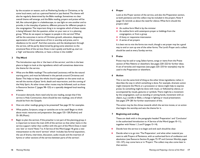by the occasion or season, such as Mothering Sunday or Christmas, or by some local event, such as a patronal festival or jazz festival.The theme will also be regularly determined by the Bible readings. Sometimes no clear overall theme will emerge, and the Bible reading, prayers and praise will be left, like coloured glass in a kaleidoscope, to cast light on one another and to provide, in the interplay of patterns, different pictures for different people in the congregation.The important thing is to recognize which of these routes is being followed. Ask the question, either on your own or in a planning group, 'What do we expect to happen to people in this service? What will be the outcomes in terms of Christian growth, education, deepening appreciation of God, experience of him in worship and praise, and in obedience to his word?' And that outcome, and the development through the service, will be partly determined by giving some attention to the emotional flow of the service. Does it start quietly and build up, start on a 'high' and become reflective, or have a climax in the middle?

#### **3 The Word**

The Introduction says this is 'the heart of the service', and this is the best place to begin to look at the ingredients which will sometimes determine the theme for the service.

- **\*** What are the Bible readings? The authorized Lectionary will be the natural starting point, and must be followed in the periods around Christmas and Easter.This helps to keep the whole church together on the same track as we tell the stories of Jesus' birth, death and resurrection, and the coming of the Holy Spirit. At other times other routes may be followed, such as those in Resource Section C (pages 98–123) or a specially designed local teaching scheme.
- **\*** If occasion demands, there need only be one reading, except that if the service is Holy Communion, there should be two readings, one of which should be from the Gospels.
- **\*** How are other readings going to be presented? See page 101 for examples.
- **\*** What psalms, Scripture, songs or canticles are to be used? Begin to think about music resources and preparation. See pages 125–128 (Psalms) and 35–38 (Music).
- **\*** Begin to plan the sermon. If the preacher is not part of the planning group, it is important to know the main drift of the sermon so that other items in the service support rather than conflict with this part of the Word. Does it need one 'slot' or more? Note 7 to A Service of the Word (page 14) gives a new interpretation to the word 'sermon' which 'includes less formal exposition, the use of drama, interviews, discussion, audio-visuals and the insertion of hymns or other sections of the service between parts of the sermon'.

#### **4 Prayer**

Look at the Prayer section of the service, and also the Preparation section, as both penitence and the collect may be included in the prayers. Note 4 (page 13) reminds us about the need for silence.What form should the prayers take?

- **\*** An outline form filled in by the minister
- **\*** An outline form with extempore prayer or biddings from the congregation, or from a group
- **\*** A litany or responsive intercession
- **\*** A series of set prayers

It is best not to mix the forms too much, though a set prayer may be a good way to end or sum up one of the other forms.The Lord's Prayer and a collect should be used at every Sunday service.

#### **5 Praise**

Praise may be said or sung. Select hymns, songs or items from the Praise section of *New Patterns* or elsewhere. See pages 220–222 for further ideas. A set of versicles and responses (see pages 225–233 for examples) may be used in the Preparation or elsewhere.

#### **6 Action**

This is not the same kind of thing as the other three ingredients; rather, it describes the way in which something is done. For example, dramatic action might interpret the Word, or a procession or dance might help to express praise. So something might be done with music, or followed by silence, or accompanied by visuals, gestures or symbols.There might be a movement by the congregation, such as standing or joining hands, movement with an object, e.g. a candle or Bible, a change in lighting or visual presentation. See pages 279–281 for further examination of this.

The action may be the climax towards which the service moves, or an action that begins the worship and sets the theme for it.

#### **7 Beginning and ending**

These are dealt with in the paragraphs headed 'Preparation' and 'Conclusion' in the authorized Introduction to A Service of the Word (pages 10–11), together with Notes 1, 2 and 9 (pages 13–14).

- **\*** Decide how the service is to begin and end: each should be clear.
- **\*** Decide what is to go into 'The Preparation', and what other material you want to add. Prayers of Penitence, with an authorized form of confession and absolution (see Resource Section B, pages 72–97 and *Common Worship*, pages 122–137), may come here or in 'Prayers'.The collect may also come later in that section.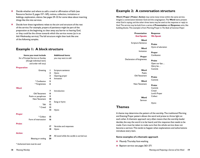- **\*** Decide whether and where to add a creed or affirmation of faith (see Resource Section E, pages 157–169), notices, collection, invitations or biddings, explanation, silence. See pages 29–32 for some ideas about inserting things like this into services.
- **\*** Decide how these ingredients relate to the aim and structure of the rest of the service. For example, prayers of penitence might be part of the preparation at the beginning, to clear away any barrier to hearing God, or they could be the climax towards which the service moves (as in an Ash Wednesday service).The full structure might then look like one of the following samples.

### **Example 1: A block structure**

**Items you must include Additional items** for a Principal Service on Sunday you may want to add (though individual items and order will vary)

#### **Preparation**

Greeting **1** Scripture sentence **2** Hymn **3** Opening prayer **4** Invitation \* Confession **5** \* Forgiveness **6 7** Introduction Old Testament **8**

Psalm or paraphrase **9** New Testament **10 11** Song or hymn Talk **12** \* Creed **13 14** Hymn

**18** Hymn

**17** Versicles and responses

**19** All stand while the candle is carried out

#### **Prayer**

**Word**

\* Collect **15** Form of intercession **16**

**Praise**

#### **Action**

Blessing or ending **20**

\* *Authorized texts must be used*

**Example 2: A conversation structure**

**Word | Prayer | Praise | Action** may come many times within the same service. Imagine a conversation between God and the congregation.The **Word** items present what God is saying, and the other three items may be used as the response or reply to God.The service may be built from a series of **Presentation** and **Response** units, like building blocks.This example is from Morning Prayer in *The Book of Common Prayer*:

| <b>Presentation</b>        | Response             |
|----------------------------|----------------------|
| <b>God Speaks</b>          | <b>We Speak</b>      |
| Word                       |                      |
| Scripture Sentence         |                      |
|                            | <b>Praise</b>        |
| Word                       | Hymn of adoration    |
| Invitation                 |                      |
|                            | Prayer<br>Confession |
| Prayer                     |                      |
| Declaration of forgiveness | <b>Praise</b>        |
|                            | Open our lips        |
|                            | Glory be             |
|                            | Canticle             |
| Word                       |                      |
| Psalm                      |                      |
| Old Testament              | Praise               |
|                            | Canticle             |
| Word                       |                      |
| New Testament              | <b>Praise</b>        |
|                            | Canticle             |
|                            | Creed                |
|                            | Lord's Prayer        |
|                            | Collect              |
| Word                       |                      |
| Sermon                     |                      |
|                            | Hymn                 |
| 'hamac                     |                      |

### **Themes**

A theme may determine the pattern of the worship.The traditional Morning and Evening Prayer pattern allows the word and praise to throw light on each other. A thematic approach very often means that the worship leader decides the way the word is to be heard, and the response that needs to be made. Care must be taken to make sure that the whole service does not become a sermon.This tends to happen when explanations and exhortations introduce every item.

#### **Some examples of a thematic approach**

- **\*** Maundy Thursday foot-washing
- **\*** Baptism service: see pages 363–371

*Planning and Preparing a Service of the Word* **19**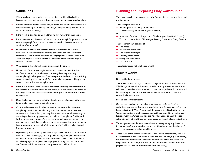### **Guidelines**

When you have completed the service outline, consider this checklist. Parts of this are amplified in the descriptive commentary sections that follow.

- **\*** Is there a balance between word, prayer, praise and action? For instance the Word section may be top heavy with long readings and long introductions, or too many short readings.
- \* Is the worship directed to God, addressing him rather than the people?
- **\*** Is the structure and direction of the service clear enough for people to know where it is going? Does the service have an overall coherence, or is it just one item after another?
- **\*** When is the climax to the service? If there is more than one, is that deliberate? Is the emotional or spiritual climax the same as the climactic moment in terms of music or words or congregational action? There is no 'right' answer, but it helps if service planners are aware of these ways in which the service develops.
- **\*** What space is there for reflection or silence in the service?
- \* How much of the service might be classed as 'entertainment'! Is this justified? Is there a balance between receiving (listening, watching, contemplating) and responding? Check on posture: is there too much sitting down or standing up at one time? Or, conversely, are people bobbing up and down too much? Is there enough action?
- **\*** Is the music used in such a way as to further and develop the main thrust of the service? Is there too much musical praise, with too many choir items, or too long a section of choruses from the music group, or hymns too close to one another?
- **\*** Does the form of service enable the gifts of a variety of people in the church to be used in both planning and taking part?
- **\*** Compare this service with other services in the month. An occasional completely new form of worship may stimulate people to discover new dimensions to their ordinary worship, but a new pattern each week may be confusing and unsettling, particularly to children. If people are familiar with both structure and content of the service, they feel more secure and can take part more easily. For an all-age service, for instance, it may be better to have a standard structure, with 'windows' or 'slots' which can be changed from week to week.
- **\*** Especially if you are planning 'family worship', check that the contents do not exclude some in the congregation, e.g. children, single people, the bereaved, members of broken families. It is hurtful and not constructive to require a mixed congregation simply to join in prayers thanking God for our homes and families and all the happiness that parents and children share.

## **Planning and Preparing Holy Communion**

There are basically two parts to the Holy Communion service: the Word and the Sacrament.

The Word part consists of

**\*** the first part of the Holy Communion (The Gathering and The Liturgy of the Word)

*or*

**\*** A Service of the Word (Preparation, The Liturgy of the Word, Prayers). This can take the form of Morning or Evening Prayer, or a Family Service.

The Sacrament part consists of

- **\*** The Peace
- **\*** Preparation of the Table<br>**\*** The Eucharistic Praver
- **\*** The Eucharistic Prayer<br>**\*** Breaking of the Bread
- **\*** Breaking of the Bread<br>**\*** Giving of Communion
- **\*** Giving of Communion
- **\*** The Dismissal

These features are not all of equal weight.

## **How it works**

First decide the structure.

This is well set out on page 12 above, although Note 10 to A Service of the Word (page 14) says that the order provided is not prescriptive. A decision will need to be taken about where to place those ingredients that are normal but may vary in position; for example, where penitence is to come, and where the Peace is shared.

Second, add to this structure:

- **\*** Other elements that are compulsory, but may vary in form. All of the authorized forms of confession and absolution from *Common Worship* may be found in Section B.When A Service of the Word with a Celebration of Holy Communion is being used, the readings must be governed by an authorized lectionary, but the Creed could be the Apostles' Creed or an authorized Affirmation of Faith. All those currently authorized may be found in Section E.
- **\*** Those ingredients in the service which are not compulsory; e.g. the collect for purity, the Gloria in excelsis, the prayer of humble access, the choice of post communion or another suitable prayer.
- **\*** Those parts of the service where 'ad lib' or unofficial material may be used, or where there is provision made in the Resource Sections, e.g. the Greeting, the Prayers of Intercession, the introduction to the Peace, Prayers at the Preparation of the Table, the Post Communion or other suitable or seasonal prayers, the seasonal or other suitable form of blessing.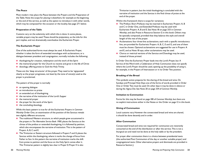### **The Peace**

Most modern rites place the Peace between the Prayers and the Preparation of the Table. Note the scope for placing it elsewhere, for example at the beginning or the end of the service, as well as the option to introduce it with other words, which may be composed for the occasion or the locality. See page 271 below.

#### **Preparation of the Table**

Customs vary on the solemnity with which this is done. In some places, variable prayers may be used.These should be *preparatory*, as the title for this part implies, and not dramatically overshadow the Eucharistic Prayer.

#### **The Eucharistic Prayer**

One of the authorized forms must always be used. A Eucharistic Prayer, whether it takes the form of extended monologue with acclamations, or a dialogue between president and congregation, normally includes the following:

- **\*** thanksgiving for creation, redemption and the work of the Spirit
- **\*** the memorial prayer for the Church to receive and grow in the life of Christ
- **\*** doxology, offering praise to God the Holy Trinity.

These are the 'deep structures' of the prayer.They need to be 'signposted' clearly as the prayer progresses, not least by the tone of voice(s) used as the prayer is proclaimed.

The pattern of the prayer is normally

- **\*** an opening dialogue
- **\*** an introduction to praise
- **\*** an extended act of thanksgiving
- **\*** the narrative of the institution of the Lord's Supper
- **\*** the memorial prayer
- **\*** the prayer for the work of the Spirit
- **\*** the concluding doxology.

While this basic pattern is true for all the Eucharistic Prayers in *Common Worship* Order One, an examination of the position of the Sanctus reveals two slightly different structures.

- **\*** The traditional Western structure, to which people grew accustomed in the prayers in *The Alternative Service Book 1980*, places the Sanctus at the climax of the preface or extended thanksgiving. It is followed by petition, which also encompasses the narrative of institution.This is the pattern of Prayers A, B, C and E.
- **\*** The Trinitarian or Eastern structure followed in Prayers F and G places the Sanctus within the thanksgiving, where it marks the change of focus from Father to Son. In this pattern the narrative of institution marks the shift from praise to petition and the focus on the Holy Spirit comes after it. This Trinitarian pattern is slightly less clear in Prayer D. Prayer H is also

Trinitarian in pattern, but the initial thanksgiving is concluded with the narrative of institution and the Sanctus is the final climax of praise at the end of the prayer.

Within this framework there is scope for variations:

- **\*** The Preface: Short Prefaces may be inserted in Eucharistic Prayers A, B and C in Order One, and Extended Prefaces may be used with Eucharistic Prayers A, B and E. See Note 18 on page 333 in *Common Worship*, and also Praise in Resource Section G in this book. Others may be specially composed, provided that they balance the style and overall length of the rest of the prayer.
- **\*** Acclamations: four three-line acclamations, each with a specific introductory line, are provided for Eucharistic Prayers A, B, C, E and G, and one of them must be chosen. Optional acclamations are suggested for use in Prayers A and E, and as Note 18 says, other acclamations may be used.
- **\*** Chorus or metrical versions of the Sanctus and Doxology may be used, instead of those printed.

In Order One the Eucharistic Prayer leads into the Lord's Prayer, but A Service of the Word with a Celebration of Holy Communion does not specify where the Lord's Prayer should be used, opening up the possibility of using it, for example, in the Prayers of Intercession or in its Order Two position.

#### **Breaking of the Bread**

This symbolic action prepares for the sharing of the bread and wine. On Sundays and Principal Holy Days one of the forms of words provided in Order One or Order Two must be used. On other days it may be done in silence or during the Agnus Dei. See Note 20 on page 334 of *Common Worship.*

#### **Invitation to Communion**

Forms for this may be found on page 180 of *Common Worship*, but there are no explicit instructions either in the Notes or the Order on page 12 in this book.

#### **Giving of Communion**

Local customs vary. However the consecrated bread and wine are shared, it should be done decently and in order.

#### **After Communion**

Consecrated bread and wine not required for communion are reverently consumed at the end of the distribution or after the service.This is not a liturgical act and need not be done at the holy table or by the president.

For prayer after communion there is a choice between presidential texts (the authorized Post Communion of the day or another suitable prayer) and congregational texts. Other alternative prayers and dismissals are provided in Resource Section J.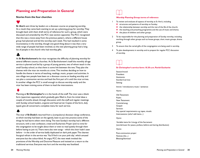### **Planning and Preparation in General**

#### **Stories from the four churches**

### ♥

**St Ann's** sent three lay leaders on a diocesan course on preparing worship. As a result they came back wanting to set up a planning group for worship.They brought back with them draft terms of reference for such a group, which were discussed and amended by the PCC (see section opposite).The PCC recognized that this was a move away from the previous pattern, where a different house group had planned and led the worship each week.This had resulted in some inconsistency in the worship, though one good thing about it was that a very wide range of people had been involved, so the new planning group had a long list of people in the church who had worship gifts.

### ♣

At **St Bartholomew's** the vicar recognizes the difficulty of planning worship for several different country churches. At St Bartholomew's itself the monthly all-age service is planned and led by a group of young parents, two of whom teach in the small Sunday school, so that there is some link between the two.They plan the themes with the vicar six months at a time.This involves deciding on how to handle the theme in terms of teaching, readings, music, prayers and activities. In one village two people have been on a diocesan course on leading worship and can plan a communion service and lead the first part of it until the vicar arrives. In another village the PCC is small enough to discuss worship easily and the vicar has been training some of them to lead the intercessions.

## ♦

Planning at **St Christopher's** is in the hands of the staff.The vicar uses a blank form (specimen opposite) which gradually gets filled in, from his initial ideas a couple of months ahead, through discussion with the staff and regular meetings with Sunday school leaders, organist and head server. Copies of the form, duly typed, give all concerned a complete menu for each service.

### ♠

The vicar of **St Dodo's** returned from a (compulsory) diocesan clergy conference, at which worship had been on the agenda, keen to put into practice some of the things he had learnt others were doing.The next Sunday's worship had a different structure, with a new confession, creed and Eucharistic Prayer (and no time for the congregation to be taught about them or even to read quietly through them before having to join in).There were also new songs – which the choir hadn't seen before – in the order of service badly duplicated on dark pink paper.The clearest liturgical refrain in the service was 'You'll find it on your pink slip', which amused everyone but the colour-blind. An angry PCC the next week invoked the provisions of the Worship and Doctrine Measure and insisted on a return to the traditional services. Everyone was hurt and the worship was fossilized.

| P. |     | ٠ |  |
|----|-----|---|--|
|    |     |   |  |
|    |     |   |  |
|    |     |   |  |
|    |     |   |  |
|    |     |   |  |
|    |     |   |  |
|    |     |   |  |
|    |     |   |  |
|    |     |   |  |
|    | . . |   |  |
|    |     |   |  |

#### **Worship Planning Group: terms of reference**

- 1 To review and evaluate all aspects of worship at St Ann's, including
	- **\*** structures and patterns of worship on Sunday;<br>**\*** the relationship between worship and the rest
	- **\*** the relationship between worship and the rest of the life of the church;<br>**\*** the teaching and preaching programme and the use of music and drama
	- **\*** the teaching and preaching programme and the use of music and drama;
	- **\*** the place of children and other groups.
- 2 To be responsible for the planning and preparation of Sunday worship, including working through other groups such as house groups, choir, music groups, drama group.
- 3 To ensure that the varied gifts of the congregation are being used in worship.
- 4 To plan developments in worship and to prepare for regular PCC discussion of worship.

#### **St Christopher's service form: 10.30 a.m. Parish Eucharist**

Season/mood: President: Assistants: Standard service:

Setting:

Introit / introductory music / sentence:

Hymn:

Old Testament: Psalm: New Testament: Canticle/song: Gospel: Sermon: Any special requirements e.g. tapes, visuals: Intercessions: (who? add items...)

#### Hymn:

Variable items for Liturgy of the Sacrament: (words/music for peace, preface, before and during distribution)

Hymn:

Post-communion prayer: Notices (list...) Blessing/dismissal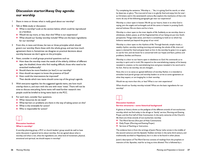## **Discussion starter/Away Day agenda: our worship**

- 1 Share in twos or threes: what is really good about our worship?
- 2 Talk or Bible study or discussion:
	- **\*** What is worship? Look at the section below, which could be reproduced as a handout.
	- **\*** Would we say more, or less, than this? What is our experience?
	- **\*** What should our Sunday worship include? What are the basic ingredients for our worship?
- 3 From this, in twos and threes, list two or three principles which should govern our worship. Share these with the whole group, and see how much agreement there is. Sometimes we disagree on practical decisions about worship because we don't agree on the principles.
- 4 Next, consider in small groups practical questions such as:
	- **\*** How does the worship meet the needs of the elderly, children of different ages, the disabled, those who find reading difficult, those who need to be stretched intellectually?
	- **\*** Should there be more freedom (or less?) in our worship?
	- **\*** How should we expect to know the presence of God?
	- **\*** How could the intercessions be improved? Then decide which two items should come top of the group's agenda.
- 5 With everyone together, list the suggested agenda items, see how much overlap there is, and start with the one with most 'votes'.There will not be time to discuss everything. Some items will need further research: two people could be briefed to bring items back to the PCC.
- 6 For each item, consider four questions.
	- **\*** What resources do we need?
	- **\*** What barriers or problems are there in the way of taking action on this?
	- **\*** What is the timetable for action?
	- **\*** Who is responsible for action?



### **Discussion handout: What is worship?**

A worship planning group, a PCC or church leaders' group would do well to have some discussion in general terms about worship. Are we agreed about what is worship and what is not, what the ingredients are, what kind of movement, physical, emotional and spiritual, we should expect in worship?

Try completing the sentence, 'Worship is…' Yes, it is giving God his worth, or what he deserves, or glory. 'The true end of man is to glorify God and enjoy him for ever', as Christians said in the seventeenth century. But explore the mechanics of that a bit more: do any of the following paragraphs get near our experience?

Worship is a door open in heaven.We lift up our hearts, listen in to what God is saying, join the angels and archangels and all the saints in heaven in praising God's eternal holiness.We are there and he is here.

Worship is a door open to the inner depths of life. Suddenly, as we worship, there is wholeness, *shalom*, peace, as all the fragmented bits of our being are put into God's perspective.Things make sense, and there is something to hold on to which has hitherto seemed just beyond the grasp of our mind.

Worship is a door open to the rhythms of life.Through festivals, simple rituals, a weekly rhythm, worship marking morning and evening, the whole of life, time and space is claimed for God and given back to him. In the worship he gives it to us again, to use for him, and we know he is concerned with our hopes and fears, politics and problems, families and finance.

Worship is a door to our hearts open in obedience to God. He commands us to worship in spirit and in truth.We respond to the overwhelming majesty of his beauty revealed in creation, to his overwhelming love and grace revealed in his word and in his Son. And as we worship, we are changed…

Now, this is in no sense an agreed definition of worship. Rather, it is intended to stimulate local parish groups and worship leaders to arrive at some agreement on what they expect, or are longing for, in their worship.

Would we say more than this, or less? What is our own experience?

What should our Sunday worship include? What are the basic ingredients for our worship?

#### **Discussion handout:**

**Service structures – some historical background**

A glance at history shows us the pedigree of the different strands of non-eucharistic worship which we find today in the all-age or 'family' service, Morning and Evening Prayer, and the first half of Holy Communion. In the early centuries of the Church's life there are three strands of non-eucharistic worship:

- **\*** The Word Service (first part of Holy Communion)
- **\*** Daily Prayer (Morning and Evening Prayer)
- **\*** Services of Teaching or Instruction.

The evidence here is from the writings of Justin Martyr (who wrote in the middle of the second century) and the *Apostolic Tradition* (written in the early third century, and traditionally ascribed to Hippolytus), but it is also to be found in other places.

Justin's description of The Word Service consists of readings from the prophets or memoirs of the Apostles, read for as long as time allowed.This is followed by a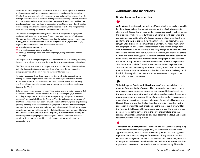discourse, and common prayer.This core of material is still recognizable in all major traditions, even though other elements were added in the intervening centuries. Usually there is an approach, with prayer and praise, and possibly penitence; then the readings, the last of which is a Gospel reading, followed in turn by a sermon, the creed and intercessions.What sort of 'shape' does this give us? It would be possible to see the climax of such a service either in the reading of the Gospel (even though this is a later addition), or in the intercessions, as the response of faith – the living sacrifice of the Church responding to the Word proclaimed and preached.

The content of daily prayer in the *Apostolic Tradition* is less precise. It is prayer in the heart, with a few people, or many.The emphasis is on the *times* of daily prayer. The later evidence of East and West suggests that the main times were morning and evening, and the service consisted of praise, using fixed psalms, hymns and songs, together with intercession. Later developments included:

- **\*** many introductory prayers;
- **\*** the continuous recitation of the Psalter:
- **\*** readings from Scripture of ever increasing length, along with other Christian writings.

The original core of daily prayer, praise to God at certain times of the day, eventually became obscured, and its structure distorted, by lengthy psalm-singing and readings.

The 'Teaching' type of service centring on instruction in the Word of God is referred to in the *Apostolic Tradition* and may be a direct offspring of the corresponding synagogue service, a Bible study with no particular liturgical shape.

As history proceeds, these three types of service, which major respectively on reading the Word, on prayer and praise, and on teaching, do not remain distinct. At the Reformation, Cranmer reduced the seven medieval 'hours' into Morning and Evening Prayer, combining prayer and praise with an emphasis on reading and teaching the Word.

Before we draw some conclusions from this, a further glance at history suggests that Christians in the early Church were not divided up according to *age*, but rather according to *stage*, so that catechumens (those preparing for baptism, however old they were) were excluded from the Eucharist.Their formal departure at the end of the Word Service would have been a dramatic feature of the liturgy in a large building, probably involving some upheaval in the congregation as a whole. Perhaps we might make similar structural provision today. As they did in the early Church, we are again providing not only for individuals but for whole families to move from a non-Christian to a Christian lifestyle. Should we still be organizing our church life and worship on the assumption that people grow from being less Christian to more Christian in parallel with their age (and so older people but not children are admitted to communion …)?

### **Additions and insertions**

#### **Stories from the four churches**

♥

At **St Ann's** there is usually some kind of 'spot' which is particularly suitable for the children before they go out. Sometimes it is a fairly riotous action chorus which (depending on the mood of the service) usually fits best among the introductory choruses.Today there is a brief quiz (with scoring on the projection equipment) on the Old Testament story which is read in church and forms the basis of the teaching when they leave.This naturally comes straight after it is read. Sometimes there is an interview with a member of the congregation, or a visitor or past member of the church (always done with a microphone). Some interviews are lively enough to be done when the children are present, or of particular interest to them, and may come before or after one of the readings; others fit much better as part of the sermon or, more usually, just before the intercessions so that prayer follows naturally from them.Today there is a missionary couple who are returning overseas after home leave, and the farewell prayer and commissioning takes place after communion, immediately before the blessing. Apart from the notices (before the intercessions today) the only other 'insertion' is the laying on of hands for healing, which happens in a non-intrusive way as people come forward to receive communion.

### ♣

Today is Rogation Sunday at **St Bartholomew's** and the archdeacon is there for Evensong in the afternoon.The congregation have saved up for a new electric organ to replace the old harmonium, and it is dedicated after the second lesson, before the small choir sing an anthem. After the sermon, everyone goes out in a haphazard kind of procession to the lych gate, where a pair of new gates, given in memory of a young farmer killed last year, are blessed.There is prayer for the family, and conversation with them as the procession moves off to the highest point at the top of the churchyard for the Rogationtide blessing of fields, crops, sheep and sea.The blessing of the people, present at the service and in the surrounding village, ends the service. Sometimes an insertion on this scale becomes the focus and climax towards which the worship moves.

## ♦

The vicar at **St Christopher's** has studied Note 7 of *Common Worship* Holy Communion (*Common Worship* page 331), so silences are inserted at the appropriate points, and the service moves along with a clear and dignified rhythm of music, words and space for reflection.Today, ministers of the Eucharist are being commissioned to take communion to the sick, and this is most appropriately done immediately before the Peace, with some words of explanation, questions to them and a prayer of commissioning.This is the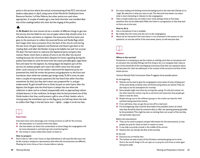point in the service where the annual commissioning of the PCC and church leaders takes place in April, using some of the Words for Dedication from Resource Section I of *New Patterns*, but other points are used when appropriate. A couple of weeks ago a new head chorister was installed after one of the readings before the choir led the singing of the psalms.

### ♠

At **St Dodo's** the vicar knows he has a number of different things to get into the service, but has failed to sort out on paper where they should come. It is a Parade Service, and there is a baptism. He announces the first hymn and goes to the sanctuary to collect the assorted Scout and Guide flags which don't begin their slow procession from the back of the church until during the last verse. He gets impatient and flustered, and doesn't get back to his reading desk until after the Reader, trying to be helpful, has said 'Let us pray.' Oh dear! He had meant to welcome the baptismal party and give a few notices. Never mind: there is plenty of time to do this after the second reading because the churchwardens (despite his frantic signalling during the psalm) have failed to come forward with the stand, portable glass sugar-bowl font and water for the baptism. So, having begun the baptism part of the service, he realizes people can't insert the child's name into the prayer (their usual custom) as he has neither welcomed the baptismal party nor presented the child. He invites the parents and godparents to the front and introduces them while the wardens get things ready.To fill in time, he asks them a couple of impromptu questions (he has heard that other churches sometimes do this), but they don't seem very prepared for it, and get embarrassed.To give himself time to think, he puts an extra hymn after the baptism, but forgets that the third hymn is always the one when the collection is taken and so is faced unexpectedly with an approaching column of plate-bearers. In the confusion, he forgets that he had promised one of the Guide leaders that they could present a gift to one of their leaders who is moving away. He remembers just as the flag party are half way down the aisle to collect their flags in the last hymn and – rightly – judges it to be too late.

#### **Interviews**

Interviews have some advantages over inviting someone to talk for five minutes:

- **\*** the interviewer is in control of the time taken;
- **\*** the interviewer can direct the conversation to those things the congregation will be most interested in, and interrupt and curtail boring bits;
- **\*** the variety in voices makes them easier to listen to.

#### **How to prepare**

**\*** Don't meet to 'talk it over' hours or days beforehand. It will taste like left-overs and be like trying to recapture a spontaneous joke when the circumstances are different. Meeting the victim three or four minutes before is plenty.

- **\*** Do some reading and thinking around the background to the interview. Decide on an 'angle'. Be selective in what you want to ask.The informed interviewer can select what is most interesting or relevant to the congregation.
- **\*** Have a simple outline you can hold in your mind, perhaps three or four basic questions that can be elaborated. Make sure there is a progression so that they lead on from one to the next.

#### **How to do it**

- **\*** Use a microphone if one is available.<br>**\*** Be mobile: face the victim and also tu
- **\*** Be mobile: face the victim and also turn to the congregation.<br> **\*** Above all be interested If the interviewer is not interested in
- **\*** Above all, be interested. If the interviewer is not interested in the answers to the questions, no one else will be. If the interviewer yawns, so will everyone else.

#### **Notices**

#### **When in the service?**

Sometimes it is tempting to see the notices as nothing more than an annoyance and an intrusion into worship. Perhaps the first thing to do is to recognize their value as part of the shared life of the worshipping community. Only then can questions about the best place for them be addressed, in the context of the structure and flow of the whole service.

*Common Worship* Holy Communion Note 9 suggests three possible places:

#### At the beginning:

- **\*** Notices can be used to give the congregation some sense of unity, of being part of the same family, as family news and forthcoming events are shared.They can also help to set the atmosphere for worship.
- **\*** Some people might miss them by arriving late, saying, 'It's only the notices'; on the other hand the notices may be so attractive and important that people get there in time for them.
- **\*** People who go out to the children's groups or the creche can leave for their activities having heard the notices.
- **\*** If not well done, they can get the service off to a bad start.
- **\*** If at the beginning, they could be done before the president enters (in which case they should be done by someone else) or after the opening greeting (possibly by the president).This might be seen as marking them out as part of the worship, and spiritually important.

#### Before the intercessions:

- **\*** They can be used to prepare and give information for the intercessions, so that people can pray for items of news or events to come.
- **\*** It may help to provide a break in the middle of the service.
- **\*** Notices here can disrupt the flow of the worship.

#### At the end:

- **\*** Everyone has arrived by then.
- **\*** The notices are seen as part of the Christian community going out to serve God in the world: things to fix our eyes on, to pray for, and times to meet again during the week.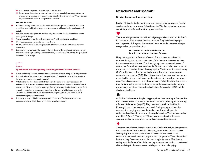- **\*** It is too late to pray for these things in this service.
- **\*** It may seem disruptive to those who want to go on quietly praying: notices are a community-centred activity, not easily mixed with private prayer.Which is most important at this point in this particular service?

#### **How to do them**

- \* A printed weekly bulletin or notice sheet; if there are spoken notices as well, these should be used to highlight important items, not to add another long collection of details.
- **\*** Vary the person who gives the notices: why should it be the function of the person leading the worship?
- **\*** Try two people sharing the task as 'presenters', with media-style headlines.<br> **\*** Use visuals, such as a projector or some drama.
- **\*** Use visuals, such as a projector or some drama.<br>**\*** Be enthusiastic: look at the congregation: remen
- **\*** Be enthusiastic; look at the congregation; remember there is a spiritual purpose to the notices.
- **\*** Evaluate and review both the place in the service and the method. Do they outweigh the sermon in length and importance? Do they contribute spiritually to the growth of the church at worship?



#### **Questions to ask when putting something different into the service**

- **\*** Is this something covered by the Notes in *Common Worship*, or by the examples here?<br>
Is it such a large item that it will change the feel of the whole service? If so, would it
- **\*** Is it such a large item that it will change the feel of the whole service? If so, would it be better to construct a special service?
- **\*** What is the effect of this item likely to be on the parts of the service around it? Where will it fit most naturally so that it contributes to and does not halt the flow of the worship? For example, if it is giving information, would this lead into prayer? If it is a special musical contribution, can it replace or be part of a Godward part of the worship? If a procession, can it happen at the beginning or end, or when there is movement anyway in the service?
- **\*** Is it going to help or hinder the congregation's sense of God's presence and his purpose for them? If it is likely to hinder, is it really necessary?

### **Structures and 'specials'**

#### **Stories from the four churches**

It's the fifth Sunday in the month, and each church is having a special 'family' service, exploring how to use A Service of the Word to help them produce something a bit different from the regular worship.

♥ There are a large number of children and young families present in **St Ann's** for another in their series of thematic services.They have been trying to involve people of all ages in the action of the worship. As the service begins, everyone learns an acclamation:

> **God has set his rainbow in the clouds: he will remember his covenant for ever.**

Using the suggestion in Resource Section G, this is used as a 'shout' at intervals during the service, a reminder of the theme as the service moves from one section to the next.The drama group have some small pieces of drama, one for each section, based on the Bible story, but the main thrust of the action is to involve the whole congregation.The first section, considering God's problem of confronting sin in the world, leads into the responsive confession for creation (B42).The children in the drama saw and hammer to music, building the ark, and round up the animals into the ark, as the story is read.There is no sermon – the whole service is full of the Word, but there is time for two well-prepared testimonies to God's rescue operation before the service ends with a responsive thanksgiving for creation (G66) and the sharing of the Peace.

### ♣

At **St Bartholomew's** the planning group have been looking at Example 2 – the conversation structure  $-$  in the section above on planning and preparing a Service of the Word (page 19).They have been struck by the idea that Morning Prayer is like a conversation, with God speaking and then the congregation replying, and have decided to use this to help people understand and benefit more from the regular services.Their service outline uses 'Hello', 'Sorry', 'Thank you', 'Please' as the headings for the main sections, held up on large visual aid cards as the service proceeds.

## ♦

There are two children being baptized at **St Christopher's**, so that provides the overall theme for the worship.The clergy have looked at the *Common Worship* Baptism service, and decided to have a service which is not eucharistic, and which involves people as much as possible.They take as their basis the Holy Communion with Baptism Sample Service in *New Patterns,* ending with the Peace. One of the readings is dramatized, and a procession of children brings in the water, ceremonially poured from a large jug.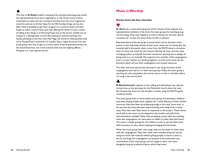### ♠

The vicar at **St Dodo's** called a meeting of his worship planning group, which has representatives from every organization in the church, many of them enthusiastic to take over the running of worship from the vicar. In generous mood, he said yes to all their ideas for the fifth Sunday all-age service, but didn't think it possible to get them to agree on a common theme and also forgot to make a note of what each was offering. He thinks it's just a matter of adding a few things in to Morning Prayer, but as the service unfolds we are treated to a disorganized concert-like jostling for position between the Guides parading to the front with their flags, the women's meeting (they used to be 'Young Wives') anthem for St Cecilia's Day, a rogue drummer from the youth group who tries to get in on every hymn, three dramatized versions of the Good Samaritan, one in full costume with trip-over lighting effects… All agree it is a very special service.

### **Music in Worship**

#### **Stories from the four churches**

♥

**St Ann's** has a music planning group which consists of the organist and representative members of the choir, the music group, the worship group, and the clergy.They meet regularly to look at themes for services, special occasions etc., to plan the music three months in advance.

Representatives of this group go to youth events and to diocesan music events so that they keep abreast of new music resources. A training day was recently held in the parish when a tutor from the RSCM came to introduce them to some new music for the *Common Worship* services, and new ways of singing psalms, as they felt that their eucharistic worship was in danger of being stuck in a rut musically.The organist and a member of the congregation who is a music teacher are working together to write some music for the Eucharist which will suit their congregation and musical resources.

The choir and music group have practised a new song, and some of the congregation have learnt it in their home groups.Today the music group is teaching the new song before the service starts, so that it is familiar before it is sung in the service later.

### ♣

**St Bartholomew's** organist is very willing and enthusiastic, but only has limited time, as she also plays for the Methodist church down the road. She chooses the music for two Sundays a month, using the RSCM's guide, *Sunday by Sunday*.

The music group (two or three adults and a group of enthusiastic children) have been playing simple music together for a while. Because of their limited resources, they have been accompanying songs in the usual 'hymn slots' in the services, but have also been experimenting with using music in other ways.They have used Taizé chants as responses to the prayers.These chants work well as the music can be adapted to the number and skill of the instrumentalists available.Today they are playing a piece after the readings, when the congregation can have space to reflect on what they have heard. The music is simple enough for the children to join in, yet the skills of the adult musicians are also used in playing and singing the harmonies.

When the music group learn new songs, they are very keen to share them with the congregation.They have made a few mistakes along the way by using too much new material without giving people a chance to learn it, but, by and large, the congregation are pleased at the enthusiasm and commitment of the music group, and are happy to learn new music alongside using the traditional hymns which they know.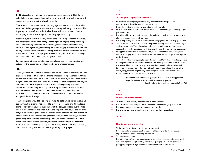♦

**St Christopher's** have an organ, but no one who can play it. Their large robed choir is now reduced in numbers and its members are all growing old; several can no longer get to church regularly.

There are no other musicians in the congregation, so the church decided to send one of their younger members, who can sing, to have guitar lessons. He is getting more proficient at basic chords and will soon be able to lead and accompany some simple songs for the congregation to sing.

Meanwhile, as they felt that using music adds something special to a service, the congregation have been trying unaccompanied singing.Today the songs are 'The Lord's my shepherd' and 'Amazing grace', which people feel they know well enough to sing confidently.They find singing hymns with a number of long verses difficult to sustain, so they are using music which is simple and short.The response to the prayers today is a sung one from Iona, 'Through our lives and by our prayers, your kingdom come'.

For the Eucharist, they have been contemplating using a simple cantor-led setting for the acclamations, which can be sung unaccompanied.

### ♠

The organist at **St Dodo's** chooses all the music – without consultation with anyone. He tries to fit in with the theme or season, using the index in *Hymns Ancient and Modern*. He also directs the choir, who are a group of enthusiastic singers, many of whom don't read music.They lead the congregational singing and persevere with Anglican chant, but don't manage many anthems. Sometimes they're tempted to try pieces they hear on CDs made by their cathedral choir – like Schubert's Mass in G.When they tried part of it, it proved far too difficult for them and they faltered and then completely stopped halfway through.

The youth group would like to sing more up-to-date music, so for today's allage service, the organist has agreed to play 'Sing Hosanna' and 'Shine, Jesus, Shine'.The vicar announces the number of the song, and reads out the first line, but his words are drowned out as the organist, keen to get the modern songs over, starts to play.There is a retired schoolteacher who has offered to involve some of the children who play recorders, and she has taught them to play a song from the Iona community, 'Will you come and follow me'.They haven't had much time to practise, and haven't checked how many verses there are.When they stop playing, the vicar says, 'There's another verse yet,' and there is a long pause while they all get ready to play again.

#### **Teaching the congregation new music**

- **\*** Be positive: 'We are going to learn a song which fits with today's theme ...', not 'I know you don't like learning new music but…'
- **\*** Know the music well enough to sing it in the bath yourself.<br>**\*** Pitch the music at a sensible level to suit everyone if possi
- **\*** Pitch the music at a sensible level to suit everyone if possible, get somebody to give you a note first.
- **\*** If at all possible, use your voice to teach the melody or at least, an instrument which plays the melody line, not full harmony.
- **\*** It may help to sing the whole of a verse to the congregation, so that they get the gist.<br> **\*** Then learn the music line by line unaccompanied You sing a line and let them sing it
- **\*** Then learn the music line by line, unaccompanied.You sing a line, and let them sing it straight back to you.Warn them of any tricky bits, or point out where the tune repeats. If they make a mistake, put it right straight away. But always be encouraging.
- **\*** Using your hand to show where the notes go up and down can be a helpful guide both when singing each line to demonstrate, and when encouraging the congregation to sing it back.
- **\*** Think about when you're going to teach the new song. Don't do it immediately before it's sung in the service – it breaks the flow of the worship.You could teach it before the service. Ideally, it could be taught the week beforehand, and then rehearsed briefly before the service in the week it is to be sung. If your church has a choir or music group, they can sing the song one week (if it is appropriate to the service), to help people to become more familiar with it.

Believe in the voice God has given you. It is the voice of an apprentice angel. Believe in the voices God has given other people.

John Bell, Iona Community, in *Heaven Shall not Wait*

#### **Why use music in worship?**

- **\*** To make the text special, 'different' from everyday speech.<br> **\*** It is corporate, something we can all join in with, and encorp
- **\*** It is corporate, something we can all join in with, and encourages participation.<br> **\*** It is memorable, and helps us to remember the words.
- **\*** It is memorable, and helps us to remember the words.<br> **\*** It expresses feelings and emotions in a deeper way tha
- **\*** It expresses feelings and emotions in a deeper way than words alone.

### **How to use music in worship**

- **\*** To 'break up' a section of a service or a whole service. It may be useful as a response after a period of listening, or to allow a change of posture after a period of sitting or kneeling.
- **\*** To complement action.

It is often used to 'cover up' an action, e.g. taking the collection, but is better used in its own right or complementing an action, e.g. singing a meditative prayer while giving people space to light candles or use some other symbolic action.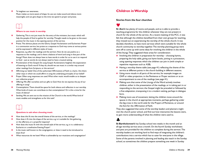#### **\*** To heighten our awareness.

Music makes us more aware of shape. Its use can make sound and silence more meaningful, and can give shape to the time we spend in prayer and praise.

#### **Where to use music in worship**

- **\*** Gathering.This is not just music for the entry of the ministers, but music which will help the people of God to gather for worship.Thought needs to be given to the exact position for the music in the opening section of the service.
- **\*** Praise.The obvious places are the Gloria, Gospel Acclamation and Eucharistic Prayer in a communion service, but praise as a response to God may come at various points and be expressed in different styles of music.
- **\*** Response, e.g. after the readings and the sermon. How do we use psalms as a response to the readings, and is there a balance of word and song in that part of the liturgy? Music does not always have to have words in order for us to use it to respond to God – just as words do not always need to have a musical setting.
- **\*** Proclamation of the Gospel. Do sung Gospel Acclamations heighten the expectation of listening to God's word? If they do, should we use music in a similar way around other readings from Scripture, or the sermon?
- **\*** Affirming our belief. One of the authorized Affirmations of Faith is a hymn. Are there other ways in which we could affirm in song the underlying principles of our belief?
- **\*** Prayer. Often sung responses are used.What other music would enable us to deepen our collective prayer?
- **\*** Offering.We offer ourselves and our gifts to God. How do we express the joy of our offering in song?
- **\*** Contemplation.There should be space for both silence and reflection in our worship. What kinds of music can contribute to that contemplation? Or is this a time for the music of silence?
- **\*** Sending.We are sent out to the mission of the Church in the world.What kind of music enables and strengthens us for this task?

#### **Questions to ask when choosing music**

- **\*** How does this fit into the overall theme of the service, or the readings?<br>
How does it fit into the shape of the service e g is it suitable for the gat
- **\*** How does it fit into the shape of the service, e.g. is it suitable for the gathering, or the offertory, or a prayerful response?
- **\*** How does the music fit with the overall style of the service, e.g. is it a celebratory Eucharist or a meditative Evening Prayer?
- **\*** Is the music well known to the congregation, or does it need to be introduced to them first?
- **\*** What resources do we have? What is achievable by our musicians and congregation?

### **Children in Worship**

#### **Stories from the four churches**

♥

**St Ann's** has plenty of rooms and people, and so is able to provide a teaching programme for the children whenever they are not present in church for the whole of the service. At a recent meeting of the PCC, it was felt that although the children benefited from their own groups for teaching, they missed out on experiencing the worship of the whole church. It was decided, therefore, to have more services which were suitable for the whole church community to worship together.The worship planning group were sent off to come up with some ideas for involving the children in the whole of the liturgy.They suggested these areas for consideration:

- **\*** Involving the children in preparation for worship choosing hymns, preparing the holy table, giving out hymn books, joining in a procession, using opening responses which the children can join in (with simple or repetitive responses such as A28).
- **\*** Having a worship theme table (see page 41) reflecting the theme of the service at different points in the church building in different seasons.
- **\*** Using more visuals in all parts of the service, for example images on OHP or video projection, in the Penitence or Prayer sections or as an accompaniment to one of the readings (see page 41).
- **\*** Making sure that some of the Liturgy of the Word actively involves children, either in the presentation of the readings, or in taking part in or responding to the sermon; the Gospel might be preceded or followed by a free adaptation, transposing it to a modern setting, perhaps in dialogue form.
- **\*** Making more use of movement, letting the children move around the spaces in the church at appropriate moments, perhaps gathering under the big cross in the north aisle for the Prayers of Penitence, or around the font for the Affirmation of Faith.

They also suggested that some of the worship leaders and planners might visit the church junior school, and find out how interactive the lessons were, to gain more understanding of what the children were used to.

### ♣

**St Bartholomew's** has Sunday school two weeks in the month and an all-age worship service once a month. On the fourth Sunday worksheets and pens are provided for the children to complete during the sermon.The worship leaders are working hard to find ways of integrating the children's contributions into a service which has to cater for everyone in the village. Some of the parents involved in planning and leading also teach in the Sunday school, so sometimes the children prepare something one week in Sunday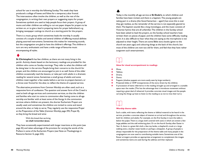school for use in worship the following Sunday.This week they have produced a collage of loaves and fishes for a temporary altar frontal. The intercessions often involve the children, as well as the rest of the congregation, in writing their own prayers or suggesting topics for prayer. Sometimes symbols are used to help people focus their prayers. A group of mums and older children are willing to cut out paper shapes for prayers to be written on, or to give a lead in preparing items for prayer beforehand, e.g. bringing newspaper cuttings to church as a starting point for the prayers.

There is a music group which sometimes leads the worship. It usually consists of a couple of adults and several children of differing musical abilities playing assorted instruments. Sometimes this makes for interesting sounds, but the congregation are glad to have the children's offerings.The children in turn are very enthusiastic and have a wide range of favourite music encompassing all styles.

## ♦

**St Christopher's** has few children, as there are not many living in the parish. Activity sheets based on the lectionary readings are provided for the children who come on Sunday mornings.They refer to what the children will be doing later in the service. People bring their concerns to the church for prayer, and the children are encouraged to join in as well. Some of the older children occasionally read the lessons, or take part with adults in a dramatic reading for several voices. Sometimes a small group of adults and some children meet together a few weeks before a service to prepare banners, or a throw-over frontal for the altar, to reflect the theme of a special service.

The alternative provisions from *Common Worship* are often used, such as a responsive form of confession.The question and answer form of the Creed is used at both all-age services and communion services, so that the children and families who start to come to communion after having come to all-age worship are familiar with at least some of the liturgy. In the communion services where children are present, the shorter Eucharistic Prayers are usually used, and sometimes the children are invited to come and stand around the altar, or help to serve.They regularly use the responsive Prayer at the Preparation of the Table (*Common Worship,* page 292, Prayer 8), as they bring the bread and wine:

> With this bread that we bring **we shall remember Jesus.**

They have occasionally experimented with longer insertions at this point (see page 42) and taken advantage of the provision for varying the words of the Preface in some of the Eucharistic Prayers (see Note on Thanksgivings in Resource Section G, page 222).

## ♠

Today is the monthly all-age service at **St Dodo's**, to which children and families have been invited, and there is a baptism.The young people are taking part in a drama (the Good Samaritan – again!) but once this is over they get restless, as the remainder of the service is not especially geared to them.The baptism sounds like a long monologue, and the music consists of Victorian hymns that are all unfamiliar.The children in the Sunday school have been asked to lead the prayers, so the Sunday school teachers have written them on pieces of paper, and the children have some difficulty reading them. It is also difficult to hear what they are saying as the microphone is not adjusted to their height.There are some Bible story books (given to the church ten years ago) and colouring things at the back of the church, but most of the children are now too old for them, and feel that they have rather outgrown such entertainment.

#### **Ideas for visual accompaniment to readings**

- **\*** Mime.
- **\*** Tableau.
- **\*** Drama.
- **\*** Dance.<br>**\*** Puppets
- **\*** Puppets (shadow puppets are more easily seen by large numbers).<br>**\*** Proiected slides or OHP transparencies of the story drawn by the
- **\*** Projected slides or OHP transparencies of the story drawn by the children.<br> **\*** A procession of items referred to in the reading, brought up and arranged in
- **\*** A procession of items referred to in the reading, brought up and arranged in a suitable space near the reader. (This has the advantage that it introduces movement without requiring a great deal of rehearsal. It provides concrete visual images and the people carrying the things up have to listen to the reading so as not to miss their turn.)

#### **Worship theme table**

Such a table, with items reflecting the theme or biblical material to be heard in the service, provides a concrete object of interest on arrival and throughout the service, both for children and adults. For example, on the first Sunday in Lent the table is below the pulpit.There is a large cloth covered with sand, in which are strewn a few large pebbles and the odd withering plant. Or on the fourth Sunday after Easter in Year A, there is a green felt cloth, a few toy lambs, a shepherd's crook or a large walking stick, a leather water bottle or perhaps a sheepskin. A group of people is always responsible for the preparation of the theme table and many people in the congregation are now used to contributing suitable items. Sometimes one of the flower arrangers provides an appropriate arrangement to complement the images and sometimes items are used during the address and then replaced.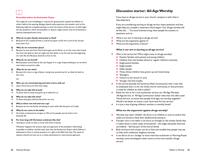#### **Preambles before the Eucharistic Prayer**

This might be a set of biddings or reasons for giving thanks, spoken by children or others, before the opening dialogue. Jewish-style questions and answers such as the following might be compiled, perhaps to echo the theme of the service. A child might ask the questions, which the president or deacon might answer, and not all questions need be attempted every time.

#### **Q Why do we give thanks and praise to God?**

A Because he has created all that is, and he has given us life. He is Lord of all, and yet loves each of us.

#### **Q Why do we remember Jesus?**

A Because he was sent from God and he gave up his life for us on the cross. God raised him from the dead so that we might see that death is not the end, but the beginning of a new life, the life Jesus showed us how to live.

#### **Q Why do we use bread?**

A Because Jesus took bread at the Last Supper. It is a sign of Jesus feeding us as we share with others around his table.

#### **Q Why do we use wine?**

A Because this wine is a sign of Jesus' saving love, poured out for us when he died on the cross.

*(or)*

- **Q Who are we remembering and who is here with us?**
- A Jesus Christ the Lord who lives today.

#### **Q Why do we take this bread?**

- A To show that his body was given up to death for us.
- **Q Why do we take this wine?**
- A To show that lesus shed his blood for our sins.

#### **Q Why is there one loaf and one cup?**

A Because we are one family; we belong to each other like the parts of a body.

#### **Q Why do we come to his table?**

A He invites us because he accepts us.We are his people and we share in his heavenly life.

#### **Q For how long will Christians celebrate like this?**

A Until Jesus comes to take us to be with God in heaven.

Whatever happens, the actions, style and approach of the president, while being accessible to children, should make clear that the Eucharistic Prayer which follows is addressed to God, in whose presence it is right to be filled with awe.The sense of mystery should not lose out to a chatty educational or instructional approach.

### **Discussion starter: All-Age Worship**

If you have an all-age service in your church, compare it with what is described here.

If you are considering starting an all-age service, these questions and lists might help you compile a statement which begins 'Our all-age worship will be like this….' Try some brainstorming, when people list answers to questions such as:

- **\*** What is our aim in starting an all-age service?<br>**\*** What are the arguments against it?
- **\*** What are the arguments against it?<br>**\*** What are the arguments in favour?
- **\*** What are the arguments in favour?

#### **What is our aim in starting an all-age service?**

- **\*** Who is the service for? Who might come to all-age worship?
	- **\*** Nuclear families with parents and young children.
	- **\*** Children from the Sunday School or regular children's activities.
	- **\*** Single parent families.
	- **\*** Single people.
	- \* Older people.<br>\* Those whose
	- \* Those whose children have grown up and moved away.<br>\* Teenagers.
	- **\*** Teenagers.<br>**\*** Visitors to
	- **\*** Visitors to the church or area.
	- **\*** Younger married couples.
- **\*** Is the service basically the Eucharist (Holy Communion) with a new title to emphasize that it is for the whole church community, or that provision is made for children as well as adults?
- **\*** Either for this or for a non-eucharistic service, are 'All-Age Worship', 'All-Age Service' or 'All-Age Communion' better titles than the often-used 'Family Service', to stress that people of all ages can worship together? Would it be better to invent a new, local name for the service?
- **\*** Is it just a way of giving children's workers a monthly break?

#### **What are the arguments against all-age worship?**

- **\*** Worship may seem 'childish'; the focus is on children to such an extent that adults are forced to deny their adulthood by joining in.
- **\*** If proper care is not taken it can focus so strongly on the nuclear family that it makes those in other styles of household – the single, bereaved, divorced and elderly – feel less part of the church family.
- **\*** Both structure and content can be so free and variable that people may see no links with traditional Anglican worship.
- **\*** It can fail to act as a 'bridge' to more main-line eucharistic or Morning Prayer worship: some worshippers never move on from the monthly 'all-age service'.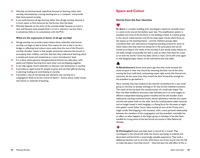- **\*** Worship can become banal, superficial, focused on learning rather than worship, dominated by a strong teaching aim or a 'compere', and provide little God-centred worship.
- **\*** It can easily become all-age learning rather than all-age worship, because it is much easier to find resources for the former than the latter.
- **\*** Worship depends on the whim of the worship leader because so much is new; and because some people think it is not a 'statutory' service, there is sometimes little or no consultation with the PCC.

#### **What are the arguments in favour of all-age worship?**

- **\*** All-age worship can provide a place where those unfamiliar with formal worship can begin to feel at home. One reason for this is that it can be a bridge, in reflecting local culture more easily than the rest of the Church's worship. Another reason is that people sometimes welcome the excuse to accompany their children, and then find that they understand teaching which is simple and visual, and sometimes at a more 'introductory' level.
- **\*** It is a place where genuine intergenerational activity can take place, with adults and children learning from each other and worshipping together.
- **\*** It can help regular church attenders to discover new dimensions in worship.<br> **\*** It provides an opportunity for people to grow and use their gifts by sharing
- **\*** It provides an opportunity for people to grow and use their gifts by sharing in planning, leading and contributing to worship.
- **\*** It provides a way of introducing new elements into worship (in a congregation likely to be less critical of them?) – drama, dance, audio-visuals, new hymns or methods of teaching.

### **Space and Colour**

### **Stories from the four churches**



**St Ann's** is a modern building with worshippers seated on movable chairs in a semi-circle around the shallow open dais.The amplification system is excellent and none of the furniture in the building is fixed. A creative group in the church makes banners and throw-away paper visuals which focus on the season or the teaching theme – and the children's groups often contribute their own decorations. Using free-standing screens for some of these means that they need not always be in the same place and can be moved according to the needs of the worship. It also avoids sticky messes on the walls, though occasionally the wall is used, as when they went for a year or so with the words 'Christ has died, Christ is risen, Christ will come again' in well-designed paper letters on the wall behind the holy table.

### ♣

**St Bartholomew's** found some years ago that they could increase the sense of space in their tiny church by removing the back row of the choir, moving the front stalls back, and putting carpet right across the chancel and sanctuary. At the same time, they moved the altar forward far enough for the president to get behind it.

More recently, they have looked at the need for somewhere for a very small group to worship on Sunday evenings or for less formal midweek occasions. The result of this has been the transformation of a small side chapel.The floor has been levelled (a sanctuary step had been put in at some stage), an efficient independent heating system installed and the old wooden chairs replaced by stacking cushioned stools, whose upholstery matches the carpet and the new pastel wash on the walls. And the small Jacobean table, restored and no longer boxed in with hangings, is a fitting focus for the seven or eight who gather round. Other 'focus' items include an icon of the Trinity and a single candle.Worshipping in this situation, with a more personal relationship between the members of the congregation and the president, inevitably has an effect on what happens in the larger group on Sundays. It has also been suitable for trying some of the less formal structures in *New Patterns for Worship*.

## ♦

**St Christopher's** have only been back in church for a month.They worshipped in the school hall while the church was being re-ordered and decorated, and found this a surprisingly valuable experience.They took a deliberate decision not to cart bits of furniture out of the church into the hall to make the place 'more like church' – they had seen the odd effect of this in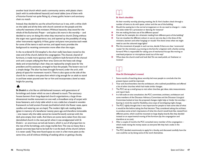another local church which used a community centre, with plastic chairs (each with its embroidered hassock) and metal tables (one of them with a Victorian frontal not quite fitting it), a heavy gothic lectern and sanctuary chairs to match.

Instead, they decided to use the school furniture as it was, with a white cloth on the table and all the links with church centred on the people and the colourful vestments of the ministers.Without hassocks, they stood for the whole of the Eucharistic Prayer – and quite a bit more in the worship – and decided to carry on doing this when they returned to church. Doing without the organ was a good experience, too, and opened up the possibility of using other instruments regularly. A flute, guitar and piano now practise each week for some of the items in each service, and taped music provides the background to receiving communion more often than the organ.

In the re-ordered St Christopher's, the choir stalls have been moved to the west end of the church, behind the congregation.The chancel, cleared of furniture, is made more spacious with a platform built forward of the chancel arch and a carpet unifying the floor area. Gone are the heavy oak clergy desks and ornate bishop's chair; they are replaced by simple seats for the president and his assistants, arranged to face the people.The lectern too is of a simple design.The altar has been brought forward, under the arch, with plenty of space for movement round it.There is also space at the side of the church for a modern one-piece font which is big enough for an adult to stand in and have water poured over her or him and incorporates a bowl at waist height for pouring.

### ♠

**St Dodo's** is a bit like an old-fashioned museum, with generations of furnishings and clutter which no one is allowed to touch.The sanctuary houses banners from long-departed church organizations, a large threedimensional marble monument on one wall, a threadbare strip of carpet with brass fasteners, and a holy table which is not a table but a boxed-in wooden framework to hold ancient frontals (and behind which the flower vases, spare candles and watering can are kept).The modern light oak reading desks (given in memory of a benefactor twenty years ago and therefore immovable – one reason why the table cannot be moved forward) contrast with the dark pine empty choir stalls. And there are some items taken from the nowdemolished church in the next parish when it was amalgamated with St Dodo's – an enormous carved oak lectern, which is out of all proportion to the rest of the furnishings, and a large marble font.This was so heavy that a special concrete base had to be built for it at the back of the church (where it is never used). They even found space to cram in a few more pews at the same time, and all without thinking of seeking advice or getting a faculty.

#### **St Ann's checklist**

At their monthly worship planning meeting, the St Ann's leaders check through a number of items to do with space, colour and the use of the building:

- **\*** Should the seating be in the normal arrangement or do we need to change it make the aisles wider for a procession or dancing, for instance?
- **\*** Are we making the best use of the different spaces?<br>**\*** Could we for example, do a dramatic reading from
- **\*** Could we, for example, do a dramatic reading from different parts of the building?<br> **\*** Can we visualize the different colours in use on any one day in the dress of the
- **\*** Can we visualize the different colours in use on any one day, in the dress of the ministers, banners and other hangings or visuals? Are there times when we might need to use the coloured stage lights?
- **\*** Plot the movement of people in each service, decide if there are clear 'ceremonial routes' for the ministers, e.g. moving to the font for a baptism with a family coming forward.Who is responsible for taking care of mechanical hiccups like moving an overhead projector or microphone stand out of the way?
- **\*** What does the church smell and look like? Do we need polish, air freshener or incense?

#### **How St Christopher's moved**

- 1 Some months of teaching about worship led most people to conclude that the present layout could be improved.
- 2 Vicar and churchwardens met the archdeacon, who outlined possibilities and offered a list of other churches which had made similar changes.
- 3 The PCC set up a small group to visit other churches, get ideas, take measurements and report back.
- 4 In a full-scale on-site consultation, the PCC committee, architect, archdeacon and some members of the Diocesan Advisory Committee and the Diocesan Liturgical Committee looked at how the proposed changes might help or hinder the worship – bearing in mind the need for flexibility, since ways of worshipping might change.
- 5 The PCC rightly thought that it was important for people to have some idea of what it would be like before taking the final decision.They considered asking the architect to produce some artist's impressions of what the church would look like, viewed from different points, which could be mounted on large display boards. But they decided instead on an experimental moving of the furniture (by the congregation and therefore at no cost).
- 6 After a couple of months the PCC consulted every member of the congregation  $$ which made raising the money easier, as everyone felt they had a stake in the decision.
- 7 The PCC decided unanimously to apply for a faculty, and discussed carefully how the cost could be cut by doing some of the work themselves.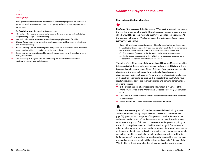#### **Small groups**

Small groups at worship include not only small Sunday congregations, but those who gather midweek, ministers and others praying daily, and one minister at prayer on his or her own.

**St Bartholomew's** discussed the importance of:

- **\*** The scale of the worship area. A small group may be overwhelmed and made to feel insignificant by a large and lofty building.
- **\*** Warmth and comfort. It is easier to worship when people are comfortable.<br> **\*** Colour Gentle colours are better in a small space: more strident colours su
- **\*** Colour. Gentle colours are better in a small space; more strident colours suit distant and dramatic viewing.
- **\*** Flexible seating.This can be arranged so that people can look at each other or have as the focus altar table, icon, candle, banner, lectern or Bible.
- **\*** Space, so that movement is possible, not only to come and go with ease, but to move during the worship.
- **\*** The possibility of using the area for counselling, the ministry of reconciliation, ministry to couples, spiritual direction.

### **Common Prayer and the Law**

**Stories from the four churches**

♥

**St Ann's** PCC has recently had to discuss 'Who has the authority to change the worship in our parish church?' This is because a number of people in the church would like to see a return to the Prayer Book for some services. At the beginning of *Common Worship*, on the authorization page (page vii), is a summary of Canon B 3:

Canon B 3 provides that decisions as to which of the authorized services are to be used (other than occasional offices) shall be taken jointly by the incumbent and the parochial church council. In the case of occasional offices (other than Confirmation and Ordination), the decision is to be made by the minister conducting the service, subject to the right of any of the persons concerned to object beforehand to the form of service proposed.

The spirit of this Canon, and of the Worship and Doctrine Measure on which it is based, is that there should be agreement at local level.This is why there is no provision for appeal under Canon B 3, apart from cases where there is dispute over the form to be used for occasional offices. In cases of disagreement, *The Book of Common Prayer* or a form of service in use for two of the past four years is to be used. So it is important for the PCC to have regular discussions about the church's worship, and come to agreement on questions such as:

- **\*** Is the overall pattern of services right? How often is A Service of the Word or A Service of the Word with a Celebration of Holy Communion used?
- **\*** Does the PCC want to make specific recommendations on the contents of the service?
- **\*** When will the PCC next review the pattern of worship?

### ♣

**St Bartholomew's** group of churches has recently been looking at what authority is needed for lay people to conduct services. Canon B 11 (see page 51) speaks of two categories of lay person, as well as Readers: those authorized by the bishop of the diocese (in their diocese this is done after attendance at a group of diocesan courses on worship sponsored jointly by the adult training department and the Diocesan Liturgical Committee), and other suitable lay persons, invited by the incumbent. Because of the existence of the course, the diocesan bishop has given directions that where lay people are to lead worship regularly, they should be those authorized by him. So St Bartholomew's now has four lay people on the course.They are glad that, once authorized, these people will be able to lead not only A Service of the Word, which is the structure for their all-age service, but also the entire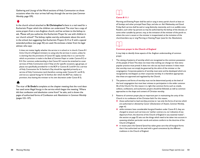Gathering and Liturgy of the Word sections of Holy Communion on those occasions when the vicar arrives half way through the service (see *Common Worship*, page 159).

## ♦

In the church school attached to **St Christopher's** there is a real need for a Eucharistic Prayer which the children can understand.The vicar has a copy of some prayers from a non-Anglican church, and has written to the bishop to ask, 'Please will you authorize this Eucharistic Prayer for use with children in our church school?' The bishop replies warmly, enthusiastic about the work in the school, but suggesting that Eucharistic Prayers D, H or E with a special extended preface (see page 42) are used. He encloses a letter from his legal adviser, who says:

It does not matter legally whether the service is in school or in church. Canon B 1 limits Church of England ministers to using only the services it covers, unless he is claiming that the provisions of Canon B 5 apply, namely that it is a service for which no provision is made in the *Book of Common Prayer* or under Canons B 2 or B 4. Our common understanding is that Canon B 5 cannot be stretched to cover services of Holy Communion even if they are for specific occasions, age groups, or places not specifically provided for in the BCP or Canons B 2 and B 4. So a service of Holy Communion for St Swithun's Day should be regarded primarily as a service of Holy Communion (and therefore coming under Canons B 1 and B 2), and not as a special liturgy for St Swithun (for which the BCP etc. makes no provision, thus leaving the minister to his own discretion under Canon B 5).

## ♠

The vicar of **St Dodo's** complains at the chapter meeting that the rural dean has used some illegal liturgy in the service which began the meeting. 'Where did that confession and absolution come from?' he asks, and is shown the pages of authorized forms of Confession and Absolution in *Common Worship* (pages 122–137).

#### **Canon B 11.1**

Morning and Evening Prayer shall be said or sung in every parish church at least on all Sundays and other principal Feast Days, and also on Ash Wednesday and Good Friday. Each service shall be said or sung distinctly, reverently, and in an audible voice. Readers, such other lay persons as may be authorized by the bishop of the diocese, or some other suitable lay person, may, at the invitation of the minister of the parish or, where the cure is vacant or the minister is incapacitated, at the invitation of the churchwardens say or sing Morning or Evening Prayer (save for the Absolution).



#### **Common prayer in the Church of England**

It may help to identify three aspects of the Anglican understanding of common prayer.

- 1 The valuing of patterns of worship which are recognized as the common possession of the people of God.This does not mean that nothing can change nor that every popular practice must prevail. It does not rule out any local variation. It does mean that worship must not simply be governed by the whim of the minister or the congregation. Corporate patterns of worship must exist and be developed which are recognized by worshippers as their corporate worship. It is therefore appropriate that these are approved and regulated by the Church.
- 2 The patterns and forms of worship must not be determined purely at the level of the local congregation but must bear witness to participation in the wider common life of the Church. For this reason it is right that common forms such as creeds, collects, confessions, and eucharistic prayers should be followed, as well as common approaches to the shape and content of Christian worship.
- 3 Patterns of common prayer play an important part in maintaining the unity of the Church in its confession of the Christian faith. For this reason,
	- **\*** those authorized to lead worship promise to 'use only the forms of service which are authorized or allowed by Canon' (Declaration of Assent, *Common Worship*, page xi);
	- **\*** while ministers have considerable liturgical freedom under Canon B 5, they are charged to ensure such services are 'neither contrary to, nor indicative of any departure from, the doctrine of the Church of England in any essential matter'; the section on page 52 sets out the things which need to be taken into account in assessing whether particular words and actions conform to the doctrine of the Church of England;
	- **\*** in recent years the General Synod has taken great care that all liturgical forms that it has authorized can be used with a good conscience by the different traditions in the Church of England.